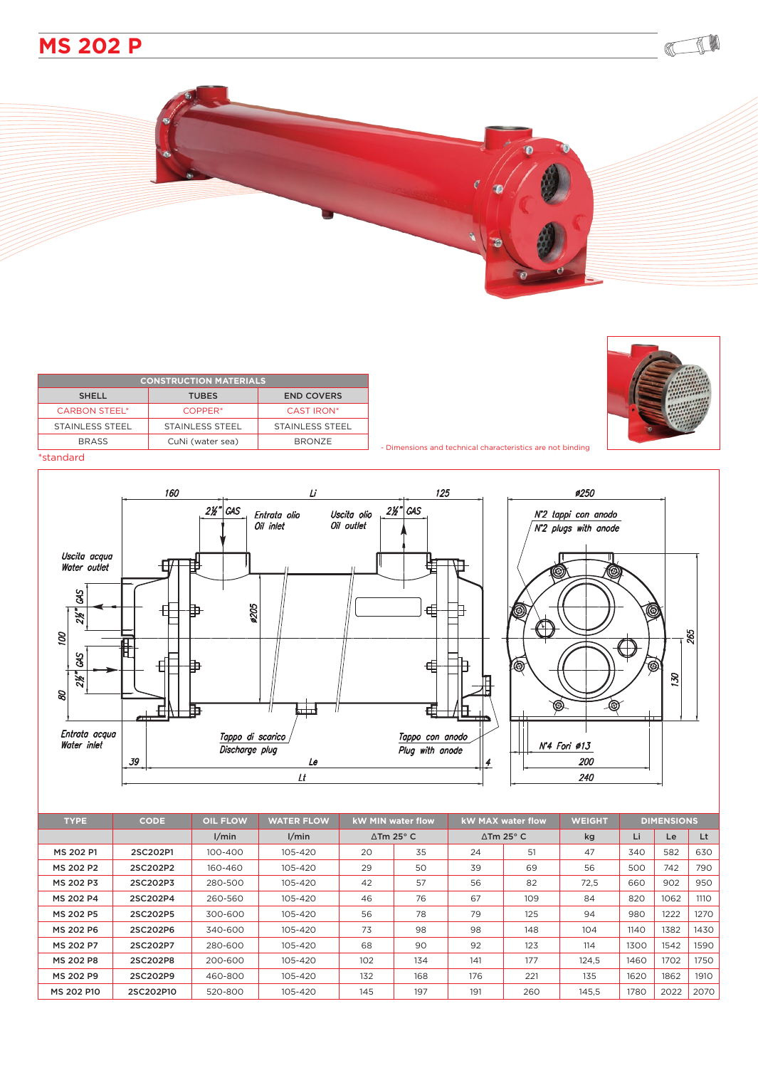

| <b>CONSTRUCTION MATERIALS</b> |                        |                   |  |  |  |  |  |  |
|-------------------------------|------------------------|-------------------|--|--|--|--|--|--|
| <b>SHELL</b>                  | <b>TUBES</b>           | <b>END COVERS</b> |  |  |  |  |  |  |
| <b>CARBON STEEL*</b>          | COPPER <sup>*</sup>    | CAST IRON*        |  |  |  |  |  |  |
| STAINLESS STEEL               | <b>STAINLESS STEEL</b> | STAINLESS STEEL   |  |  |  |  |  |  |
| <b>BRASS</b>                  | CuNi (water sea)       | <b>BRONZE</b>     |  |  |  |  |  |  |



CIL

## \*standard



| <b>TYPE</b> | <b>CODE</b> | <b>OIL FLOW</b> | <b>WATER FLOW</b> | <b>kW MIN water flow</b>   |     | <b>kW MAX water flow</b>    |     | <b>WEIGHT</b> | <b>DIMENSIONS</b> |      |      |
|-------------|-------------|-----------------|-------------------|----------------------------|-----|-----------------------------|-----|---------------|-------------------|------|------|
|             |             | 1/min           | 1/min             | $\Delta$ Tm 25 $\degree$ C |     | $\Delta$ Tm 25 $^{\circ}$ C |     | kg            | Li                | Le   | Lt   |
| MS 202 P1   | 2SC202P1    | 100-400         | 105-420           | 20                         | 35  | 24                          | 51  | 47            | 340               | 582  | 630  |
| MS 202 P2   | 2SC202P2    | 160-460         | 105-420           | 29                         | 50  | 39                          | 69  | 56            | 500               | 742  | 790  |
| MS 202 P3   | 2SC202P3    | 280-500         | 105-420           | 42                         | 57  | 56                          | 82  | 72,5          | 660               | 902  | 950  |
| MS 202 P4   | 2SC202P4    | 260-560         | 105-420           | 46                         | 76  | 67                          | 109 | 84            | 820               | 1062 | 1110 |
| MS 202 P5   | 2SC202P5    | 300-600         | 105-420           | 56                         | 78  | 79                          | 125 | 94            | 980               | 1222 | 1270 |
| MS 202 P6   | 2SC202P6    | 340-600         | 105-420           | 73                         | 98  | 98                          | 148 | 104           | 1140              | 1382 | 1430 |
| MS 202 P7   | 2SC202P7    | 280-600         | 105-420           | 68                         | 90  | 92                          | 123 | 114           | 1300              | 1542 | 1590 |
| MS 202 P8   | 2SC202P8    | 200-600         | 105-420           | 102                        | 134 | 141                         | 177 | 124.5         | 1460              | 1702 | 1750 |
| MS 202 P9   | 2SC202P9    | 460-800         | 105-420           | 132                        | 168 | 176                         | 221 | 135           | 1620              | 1862 | 1910 |
| MS 202 P10  | 2SC202P10   | 520-800         | 105-420           | 145                        | 197 | 191                         | 260 | 145.5         | 1780              | 2022 | 2070 |

- Dimensions and technical characteristics are not binding